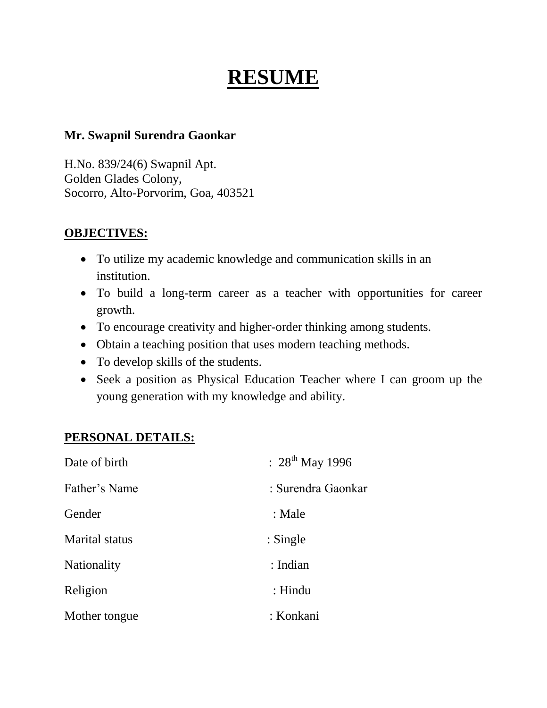# **RESUME**

#### **Mr. Swapnil Surendra Gaonkar**

H.No. 839/24(6) Swapnil Apt. Golden Glades Colony, Socorro, Alto-Porvorim, Goa, 403521

#### **OBJECTIVES:**

- To utilize my academic knowledge and communication skills in an institution.
- To build a long-term career as a teacher with opportunities for career growth.
- To encourage creativity and higher-order thinking among students.
- Obtain a teaching position that uses modern teaching methods.
- To develop skills of the students.
- Seek a position as Physical Education Teacher where I can groom up the young generation with my knowledge and ability.

#### **PERSONAL DETAILS:**

| Date of birth         | : $28^{th}$ May 1996 |
|-----------------------|----------------------|
| Father's Name         | : Surendra Gaonkar   |
| Gender                | : Male               |
| <b>Marital</b> status | $:$ Single           |
| <b>Nationality</b>    | : Indian             |
| Religion              | : Hindu              |
| Mother tongue         | : Konkani            |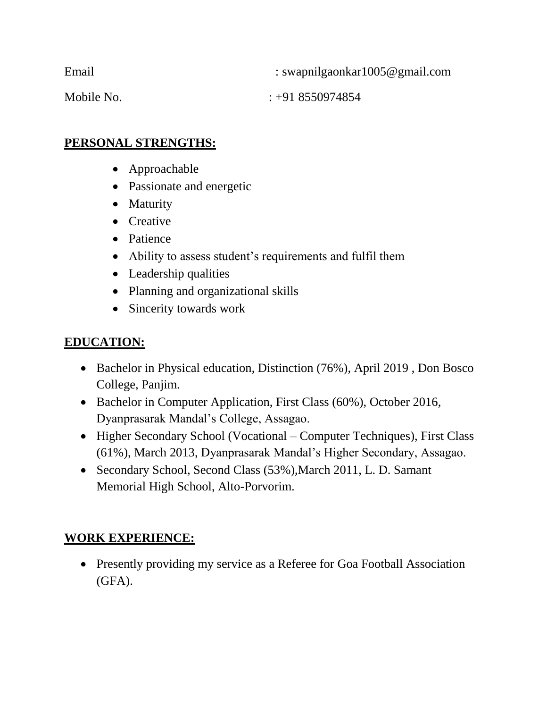| Email      | : swapnilgaonkar1005@gmail.com |
|------------|--------------------------------|
| Mobile No. | $\div 91\ 8550974854$          |

#### **PERSONAL STRENGTHS:**

- Approachable
- Passionate and energetic
- Maturity
- Creative
- Patience
- Ability to assess student's requirements and fulfil them
- Leadership qualities
- Planning and organizational skills
- Sincerity towards work

## **EDUCATION:**

- Bachelor in Physical education, Distinction (76%), April 2019, Don Bosco College, Panjim.
- Bachelor in Computer Application, First Class (60%), October 2016, Dyanprasarak Mandal's College, Assagao.
- Higher Secondary School (Vocational Computer Techniques), First Class (61%), March 2013, Dyanprasarak Mandal's Higher Secondary, Assagao.
- Secondary School, Second Class (53%), March 2011, L. D. Samant Memorial High School, Alto-Porvorim.

## **WORK EXPERIENCE:**

• Presently providing my service as a Referee for Goa Football Association (GFA).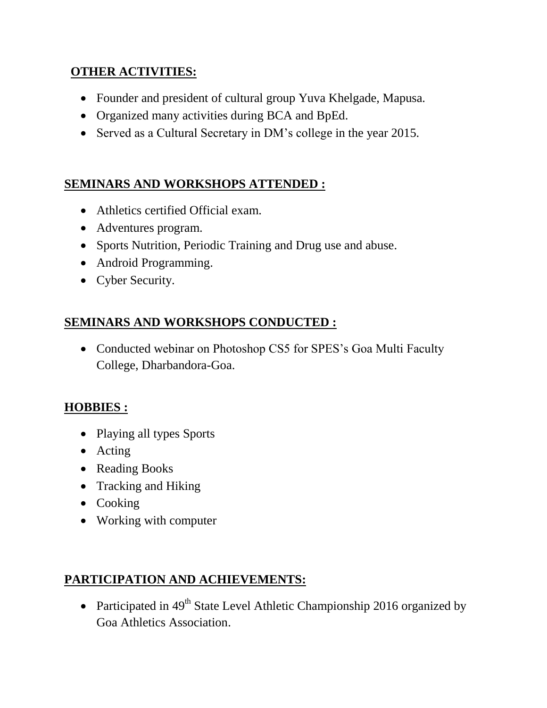#### **OTHER ACTIVITIES:**

- Founder and president of cultural group Yuva Khelgade, Mapusa.
- Organized many activities during BCA and BpEd.
- Served as a Cultural Secretary in DM's college in the year 2015.

## **SEMINARS AND WORKSHOPS ATTENDED :**

- Athletics certified Official exam.
- Adventures program.
- Sports Nutrition, Periodic Training and Drug use and abuse.
- Android Programming.
- Cyber Security.

## **SEMINARS AND WORKSHOPS CONDUCTED :**

• Conducted webinar on Photoshop CS5 for SPES's Goa Multi Faculty College, Dharbandora-Goa.

## **HOBBIES :**

- Playing all types Sports
- Acting
- Reading Books
- Tracking and Hiking
- Cooking
- Working with computer

## **PARTICIPATION AND ACHIEVEMENTS:**

• Participated in  $49<sup>th</sup>$  State Level Athletic Championship 2016 organized by Goa Athletics Association.